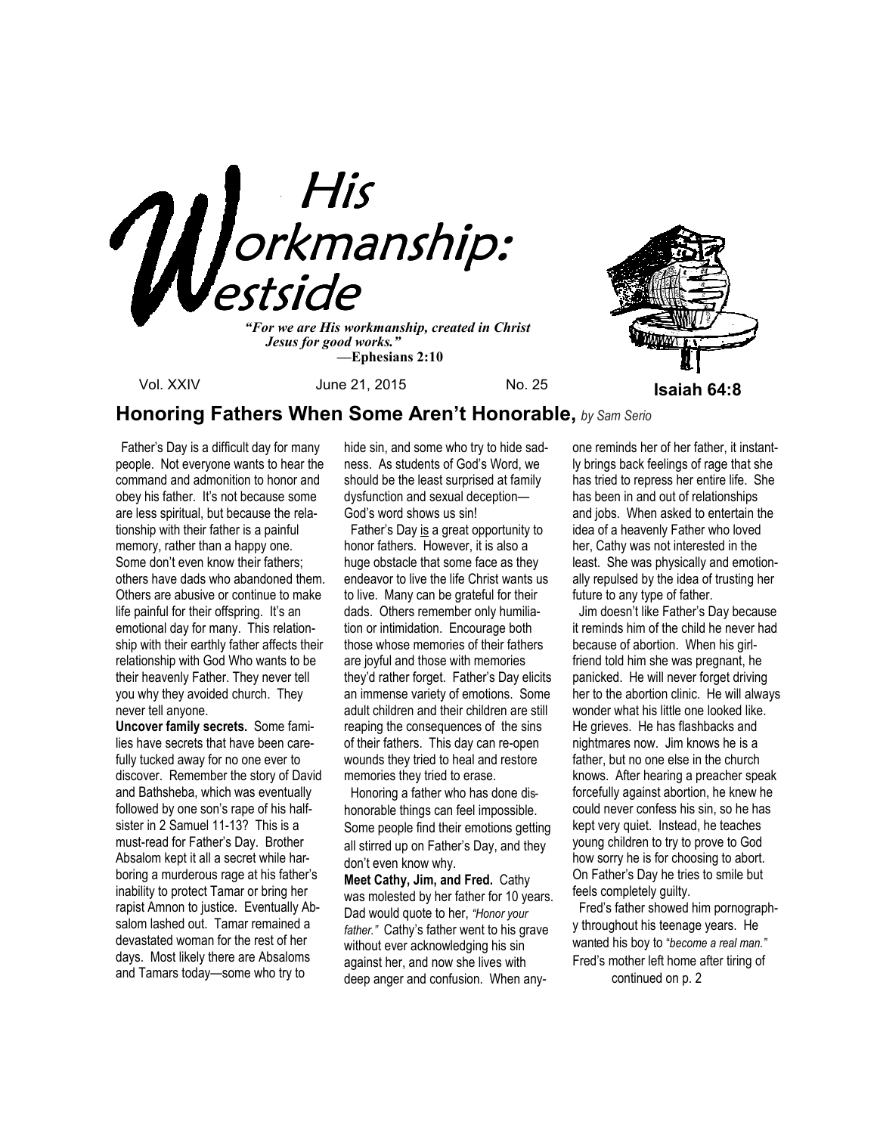

 *—***Ephesians 2:10**

## Vol. XXIV June 21, 2015 No. 25 **Isaiah 64:8**

# **Honoring Fathers When Some Aren't Honorable,** *by Sam Serio*

 Father's Day is a difficult day for many people. Not everyone wants to hear the command and admonition to honor and obey his father. It's not because some are less spiritual, but because the relationship with their father is a painful memory, rather than a happy one. Some don't even know their fathers; others have dads who abandoned them. Others are abusive or continue to make life painful for their offspring. It's an emotional day for many. This relationship with their earthly father affects their relationship with God Who wants to be their heavenly Father. They never tell you why they avoided church. They never tell anyone.

**Uncover family secrets.** Some families have secrets that have been carefully tucked away for no one ever to discover. Remember the story of David and Bathsheba, which was eventually followed by one son's rape of his halfsister in 2 Samuel 11-13? This is a must-read for Father's Day. Brother Absalom kept it all a secret while harboring a murderous rage at his father's inability to protect Tamar or bring her rapist Amnon to justice. Eventually Absalom lashed out. Tamar remained a devastated woman for the rest of her days. Most likely there are Absaloms and Tamars today—some who try to

hide sin, and some who try to hide sadness. As students of God's Word, we should be the least surprised at family dysfunction and sexual deception— God's word shows us sin!

 Father's Day is a great opportunity to honor fathers. However, it is also a huge obstacle that some face as they endeavor to live the life Christ wants us to live. Many can be grateful for their dads. Others remember only humiliation or intimidation. Encourage both those whose memories of their fathers are joyful and those with memories they'd rather forget. Father's Day elicits an immense variety of emotions. Some adult children and their children are still reaping the consequences of the sins of their fathers. This day can re-open wounds they tried to heal and restore memories they tried to erase.

 Honoring a father who has done dishonorable things can feel impossible. Some people find their emotions getting all stirred up on Father's Day, and they don't even know why.

**Meet Cathy, Jim, and Fred.** Cathy was molested by her father for 10 years. Dad would quote to her, *"Honor your father."* Cathy's father went to his grave without ever acknowledging his sin against her, and now she lives with deep anger and confusion. When anyone reminds her of her father, it instantly brings back feelings of rage that she has tried to repress her entire life. She has been in and out of relationships and jobs. When asked to entertain the idea of a heavenly Father who loved her, Cathy was not interested in the least. She was physically and emotionally repulsed by the idea of trusting her future to any type of father.

 Jim doesn't like Father's Day because it reminds him of the child he never had because of abortion. When his girlfriend told him she was pregnant, he panicked. He will never forget driving her to the abortion clinic. He will always wonder what his little one looked like. He grieves. He has flashbacks and nightmares now. Jim knows he is a father, but no one else in the church knows. After hearing a preacher speak forcefully against abortion, he knew he could never confess his sin, so he has kept very quiet. Instead, he teaches young children to try to prove to God how sorry he is for choosing to abort. On Father's Day he tries to smile but feels completely guilty.

 Fred's father showed him pornography throughout his teenage years. He wanted his boy to "*become a real man."*  Fred's mother left home after tiring of

continued on p. 2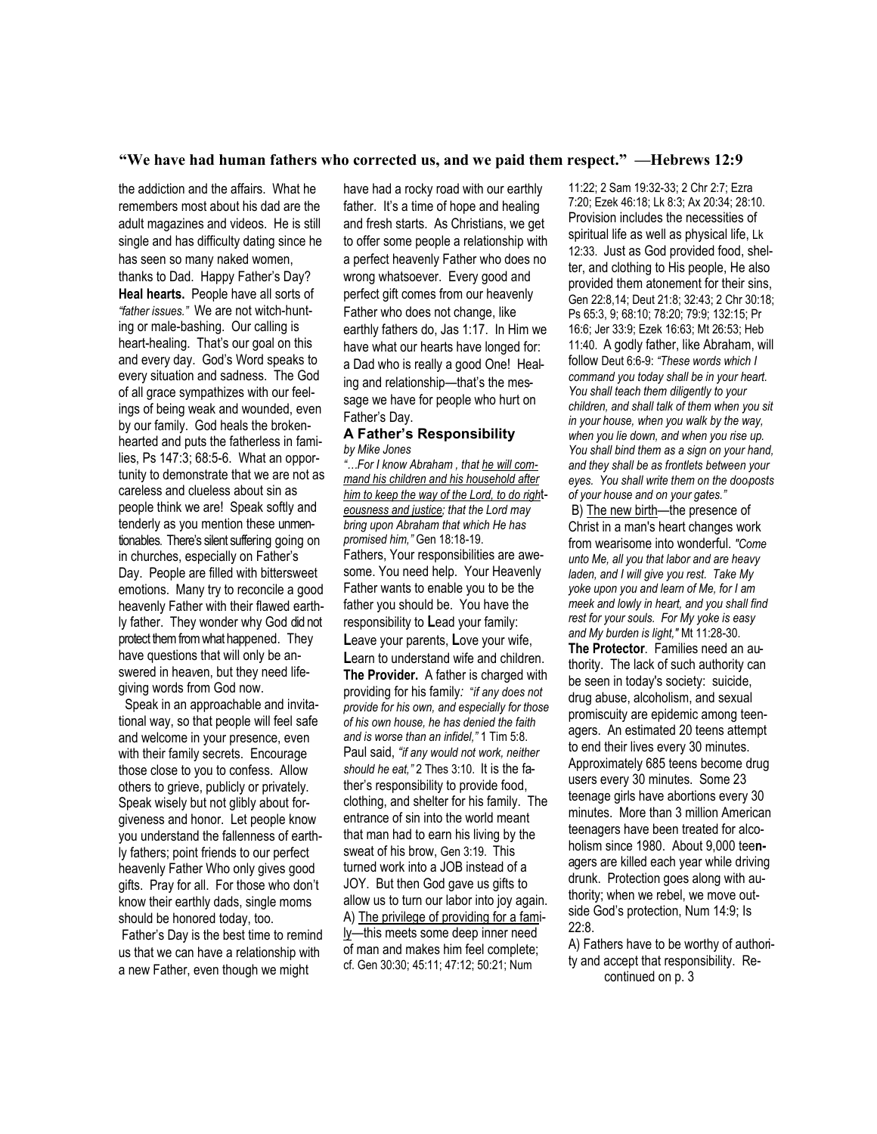### **"We have had human fathers who corrected us, and we paid them respect." —Hebrews 12:9**

the addiction and the affairs. What he remembers most about his dad are the adult magazines and videos. He is still single and has difficulty dating since he has seen so many naked women, thanks to Dad. Happy Father's Day? **Heal hearts.** People have all sorts of *"father issues."* We are not witch-hunting or male-bashing. Our calling is heart-healing. That's our goal on this and every day. God's Word speaks to every situation and sadness. The God of all grace sympathizes with our feelings of being weak and wounded, even by our family. God heals the brokenhearted and puts the fatherless in families, Ps 147:3; 68:5-6. What an opportunity to demonstrate that we are not as careless and clueless about sin as people think we are! Speak softly and tenderly as you mention these unmentionables. There's silent suffering going on in churches, especially on Father's Day. People are filled with bittersweet emotions. Many try to reconcile a good heavenly Father with their flawed earthly father. They wonder why God did not protect them from what happened. They have questions that will only be answered in hea*v*en, but they need lifegiving words from God now.

 Speak in an approachable and invitational way, so that people will feel safe and welcome in your presence, even with their family secrets. Encourage those close to you to confess. Allow others to grieve, publicly or privately. Speak wisely but not glibly about forgiveness and honor. Let people know you understand the fallenness of earthly fathers; point friends to our perfect heavenly Father Who only gives good gifts. Pray for all. For those who don't know their earthly dads, single moms should be honored today, too. Father's Day is the best time to remind us that we can have a relationship with a new Father, even though we might

have had a rocky road with our earthly father. It's a time of hope and healing and fresh starts. As Christians, we get to offer some people a relationship with a perfect heavenly Father who does no wrong whatsoever. Every good and perfect gift comes from our heavenly Father who does not change, like earthly fathers do, Jas 1:17. In Him we have what our hearts have longed for: a Dad who is really a good One! Healing and relationship—that's the message we have for people who hurt on Father's Day.

#### **A Father's Responsibility**  *by Mike Jones*

*"…For I know Abraham , that he will command his children and his household after him to keep the way of the Lord, to do righ*t*eousness and justice; that the Lord may bring upon Abraham that which He has promised him,"* Gen 18:18-19. Fathers, Your responsibilities are awesome. You need help. Your Heavenly Father wants to enable you to be the father you should be. You have the responsibility to **L**ead your family: **L**eave your parents, **L**ove your wife, **L**earn to understand wife and children. **The Provider.** A father is charged with providing for his family*:* "*if any does not provide for his own, and especially for those of his own house, he has denied the faith and is worse than an infidel,"* 1 Tim 5:8. Paul said, *"if any would not work, neither should he eat,"* 2 Thes 3:10. It is the father's responsibility to provide food, clothing, and shelter for his family. The entrance of sin into the world meant that man had to earn his living by the sweat of his brow, Gen 3:19. This turned work into a JOB instead of a JOY. But then God gave us gifts to allow us to turn our labor into joy again. A) The privilege of providing for a family—this meets some deep inner need of man and makes him feel complete; cf. Gen 30:30; 45:11; 47:12; 50:21; Num

11:22; 2 Sam 19:32-33; 2 Chr 2:7; Ezra 7:20; Ezek 46:18; Lk 8:3; Ax 20:34; 28:10. Provision includes the necessities of spiritual life as well as physical life, Lk 12:33. Just as God provided food, shelter, and clothing to His people, He also provided them atonement for their sins, Gen 22:8,14; Deut 21:8; 32:43; 2 Chr 30:18; Ps 65:3, 9; 68:10; 78:20; 79:9; 132:15; Pr 16:6; Jer 33:9; Ezek 16:63; Mt 26:53; Heb 11:40. A godly father, like Abraham, will follow Deut 6:6-9: *"These words which I command you today shall be in your heart. You shall teach them diligently to your children, and shall talk of them when you sit in your house, when you walk by the way, when you lie down, and when you rise up. You shall bind them as a sign on your hand, and they shall be as frontlets between your eyes. You shall write them on the doo*r*posts of your house and on your gates."*  B) The new birth—the presence of Christ in a man's heart changes work from wearisome into wonderful. *"Come unto Me, all you that labor and are heavy laden, and I will give you rest. Take My yoke upon you and learn of Me, for I am meek and lowly in heart, and you shall find rest for your souls. For My yoke is easy and My burden is light,"* Mt 11:28-30. **The Protector**. Families need an authority. The lack of such authority can be seen in today's society: suicide, drug abuse, alcoholism, and sexual promiscuity are epidemic among teenagers. An estimated 20 teens attempt to end their lives every 30 minutes. Approximately 685 teens become drug users every 30 minutes. Some 23 teenage girls have abortions every 30 minutes. More than 3 million American teenagers have been treated for alcoholism since 1980. About 9,000 tee**n**agers are killed each year while driving drunk. Protection goes along with authority; when we rebel, we move outside God's protection, Num 14:9; Is 22:8.

A) Fathers have to be worthy of authority and accept that responsibility. Re continued on p. 3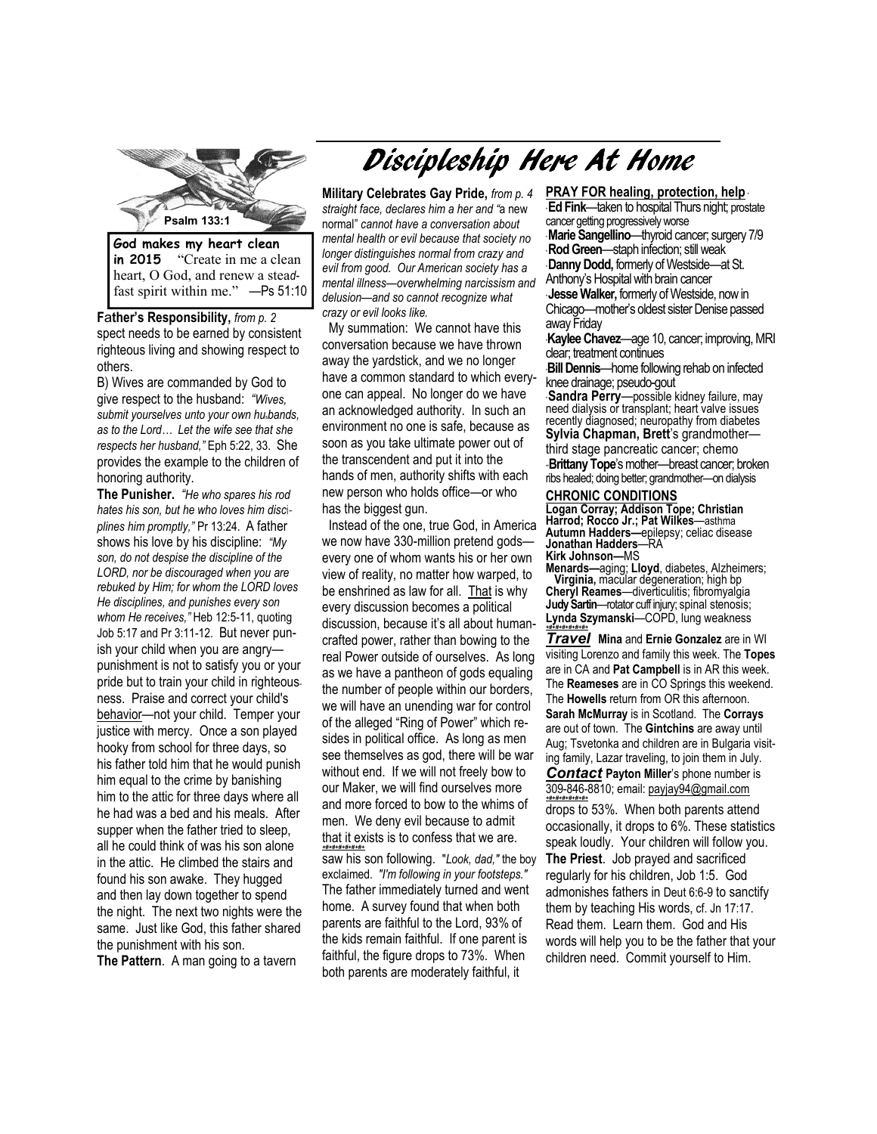

**in 2015** "Create in me a clean heart, O God, and renew a stea*d*fast spirit within me." —Ps 51:10

**F**a**ther's Responsibility,** *from p. 2*  spect needs to be earned by consistent righteous living and showing respect to others.

B) Wives are commanded by God to give respect to the husband: *"Wives, submit yourselves unto your own hu*s*bands, as to the Lord… Let the wife see that she respects her husband,"* Eph 5:22, 33. She provides the example to the children of honoring authority.

**The Punisher.** *"He who spares his rod hates his son, but he who loves him disc*i*plines him promptly,"* Pr 13:24. A father shows his love by his discipline: *"My son, do not despise the discipline of the LORD, nor be discouraged when you are rebuked by Him; for whom the LORD loves He disciplines, and punishes every son whom He receives,"* Heb 12:5-11, quoting Job 5:17 and Pr 3:11-12. But never punish your child when you are angry punishment is not to satisfy you or your pride but to train your child in righteousness. Praise and correct your child's behavior—not your child. Temper your justice with mercy. Once a son played hooky from school for three days, so his father told him that he would punish him equal to the crime by banishing him to the attic for three days where all he had was a bed and his meals. After supper when the father tried to sleep, all he could think of was his son alone in the attic. He climbed the stairs and found his son awake. They hugged and then lay down together to spend the night. The next two nights were the same. Just like God, this father shared the punishment with his son. **The Pattern**. A man going to a tavern

Discipleship Here At Home

**Military Celebrates Gay Pride,** *from p. 4 straight face, declares him a her and "*a new normal" *cannot have a conversation about mental health or evil because that society no longer distinguishes normal from crazy and evil from good. Our American society has a mental illness—overwhelming narcissism and delusion—and so cannot recognize what crazy or evil looks like.* 

 My summation: We cannot have this conversation because we have thrown away the yardstick, and we no longer have a common standard to which everyone can appeal. No longer do we have an acknowledged authority. In such an environment no one is safe, because as soon as you take ultimate power out of the transcendent and put it into the hands of men, authority shifts with each new person who holds office—or who has the biggest gun.

 Instead of the one, true God, in America we now have 330-million pretend gods every one of whom wants his or her own view of reality, no matter how warped, to be enshrined as law for all. That is why every discussion becomes a political discussion, because it's all about humancrafted power, rather than bowing to the real Power outside of ourselves. As long as we have a pantheon of gods equaling the number of people within our borders, we will have an unending war for control of the alleged "Ring of Power" which resides in political office. As long as men see themselves as god, there will be war without end. If we will not freely bow to our Maker, we will find ourselves more and more forced to bow to the whims of men. We deny evil because to admit that it exists is to confess that we are. *+#+#+#+#+#+#+*

saw his son following. "*Look, dad,"* the boy exclaimed. *"I'm following in your footsteps."* The father immediately turned and went home. A survey found that when both parents are faithful to the Lord, 93% of the kids remain faithful. If one parent is faithful, the figure drops to 73%. When both parents are moderately faithful, it

Chicago—mother's oldest sister Denise passed **PRAY FOR healing, protection, help** \* **Ed Fink—taken to hospital Thurs night; prostate** cancer getting progressively worse **Marie Sangellino—thyroid cancer; surgery 7/9** \* **Rod Green**—staph infection; still weak \* **Danny Dodd,** formerly of Westside—at St. Anthony's Hospital with brain cancer \* **Jesse Walker,** formerly of Westside, now in away Friday

\***Kaylee Chavez**—age 10, cancer; improving, MRI clear; treatment continues

\***Bill Dennis**—home following rehab on infected knee drainage; pseudo-gout

\* **Sandra Perry**—possible kidney failure, may need dialysis or transplant; heart valve issues recently diagnosed; neuropathy from diabetes **Sylvia Chapman, Brett**'s grandmother third stage pancreatic cancer; chemo \*\***Brittany Tope**'s mother—breast cancer; broken ribs healed; doing better; grandmother—on dialysis

#### **CHRONIC CONDITIONS**

**Logan Corray; Addison Tope; Christian Harrod; Rocco Jr.; Pat Wilkes**—asthma **Autumn Hadders—**epilepsy; celiac disease **Jonathan Hadders**—RA **Kirk Johnson—**MS

**Menards—**aging; **Lloyd**, diabetes, Alzheimers; **Virginia,** macular degeneration; high bp **Cheryl Reames**—diverticulitis; fibromyalgia **Judy Sartin**—rotator cuff injury; spinal stenosis; **Lynda Szymanski**—COPD, lung weakness *+#+#+#+#+#+#+*

*Travel* **Mina** and **Ernie Gonzalez** are in WI visiting Lorenzo and family this week. The **Topes**  are in CA and **Pat Campbell** is in AR this week. The **Reameses** are in CO Springs this weekend. The **Howells** return from OR this afternoon. **Sarah McMurray** is in Scotland. The **Corrays**  are out of town. The **Gintchins** are away until Aug; Tsvetonka and children are in Bulgaria visiting family, Lazar traveling, to join them in July. *Contact* **Payton Miller**'s phone number is 309-846-8810; email: payjay94@gmail.com *+#+#+#+#+#+#+* drops to 53%. When both parents attend occasionally, it drops to 6%. These statistics speak loudly. Your children will follow you. **The Priest**. Job prayed and sacrificed regularly for his children, Job 1:5. God admonishes fathers in Deut 6:6-9 to sanctify them by teaching His words, cf. Jn 17:17. Read them. Learn them. God and His words will help you to be the father that your children need. Commit yourself to Him.